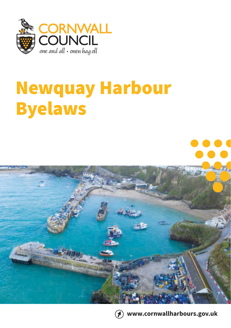

# Newquay Harbour Byelaws





**www.cornwallharbours.gov.uk**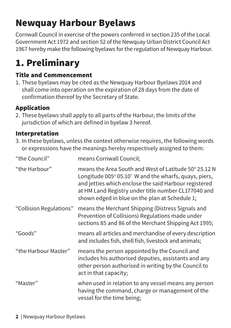# Newquay Harbour Byelaws

Cornwall Council in exercise of the powers conferred in section 235 of the Local Government Act 1972 and section 52 of the Newquay Urban District Council Act 1967 hereby make the following byelaws for the regulation of Newquay Harbour.

# 1. Preliminary

# Title and Commencement

1. These byelaws may be cited as the Newquay Harbour Byelaws 2014 and shall come into operation on the expiration of 28 days from the date of confirmation thereof by the Secretary of State.

# Application

2. These byelaws shall apply to all parts of the Harbour, the limits of the jurisdiction of which are defined in byelaw 3 hereof.

# Interpretation

3. In these byelaws, unless the context otherwise requires, the following words or expressions have the meanings hereby respectively assigned to them:

| "the Council"           | means Cornwall Council;                                                                                                                                                                                                                                                          |
|-------------------------|----------------------------------------------------------------------------------------------------------------------------------------------------------------------------------------------------------------------------------------------------------------------------------|
| "the Harbour"           | means the Area South and West of Latitude 50° 25.12 N<br>Longitude 005° 05.10' W and the wharfs, quays, piers,<br>and jetties which enclose the said Harbour registered<br>at HM Land Registry under title number CL177040 and<br>shown edged in blue on the plan at Schedule 1; |
| "Collision Regulations" | means the Merchant Shipping (Distress Signals and<br>Prevention of Collisions) Regulations made under<br>sections 85 and 86 of the Merchant Shipping Act 1995;                                                                                                                   |
| "Goods"                 | means all articles and merchandise of every description<br>and includes fish, shell fish, livestock and animals;                                                                                                                                                                 |
| "the Harbour Master"    | means the person appointed by the Council and<br>includes his authorised deputies, assistants and any<br>other person authorised in writing by the Council to<br>act in that capacity;                                                                                           |
| "Master"                | when used in relation to any vessel means any person<br>having the command, charge or management of the<br>vessel for the time being;                                                                                                                                            |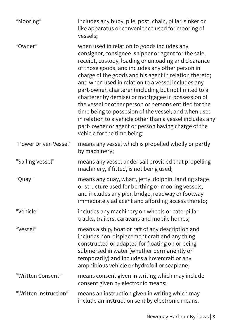| "Mooring"             | includes any buoy, pile, post, chain, pillar, sinker or<br>like apparatus or convenience used for mooring of<br>vessels;                                                                                                                                                                                                                                                                                                                                                                                                                                                                                                                                                                                           |
|-----------------------|--------------------------------------------------------------------------------------------------------------------------------------------------------------------------------------------------------------------------------------------------------------------------------------------------------------------------------------------------------------------------------------------------------------------------------------------------------------------------------------------------------------------------------------------------------------------------------------------------------------------------------------------------------------------------------------------------------------------|
| "Owner"               | when used in relation to goods includes any<br>consignor, consignee, shipper or agent for the sale,<br>receipt, custody, loading or unloading and clearance<br>of those goods, and includes any other person in<br>charge of the goods and his agent in relation thereto;<br>and when used in relation to a vessel includes any<br>part-owner, charterer (including but not limited to a<br>charterer by demise) or mortgagee in possession of<br>the vessel or other person or persons entitled for the<br>time being to possesion of the vessel; and when used<br>in relation to a vehicle other than a vessel includes any<br>part-owner or agent or person having charge of the<br>vehicle for the time being; |
| "Power Driven Vessel" | means any vessel which is propelled wholly or partly<br>by machinery;                                                                                                                                                                                                                                                                                                                                                                                                                                                                                                                                                                                                                                              |
| "Sailing Vessel"      | means any vessel under sail provided that propelling<br>machinery, if fitted, is not being used;                                                                                                                                                                                                                                                                                                                                                                                                                                                                                                                                                                                                                   |
| "Quay"                | means any quay, wharf, jetty, dolphin, landing stage<br>or structure used for berthing or mooring vessels,<br>and includes any pier, bridge, roadway or footway<br>immediately adjacent and affording access thereto;                                                                                                                                                                                                                                                                                                                                                                                                                                                                                              |
| "Vehicle"             | includes any machinery on wheels or caterpillar<br>tracks, trailers, caravans and mobile homes;                                                                                                                                                                                                                                                                                                                                                                                                                                                                                                                                                                                                                    |
| "Vessel"              | means a ship, boat or raft of any description and<br>includes non-displacement craft and any thing<br>constructed or adapted for floating on or being<br>submersed in water (whether permanently or<br>temporarily) and includes a hovercraft or any<br>amphibious vehicle or hydrofoil or seaplane;                                                                                                                                                                                                                                                                                                                                                                                                               |
| "Written Consent"     | means consent given in writing which may include<br>consent given by electronic means;                                                                                                                                                                                                                                                                                                                                                                                                                                                                                                                                                                                                                             |
| "Written Instruction" | means an instruction given in writing which may<br>include an instruction sent by electronic means.                                                                                                                                                                                                                                                                                                                                                                                                                                                                                                                                                                                                                |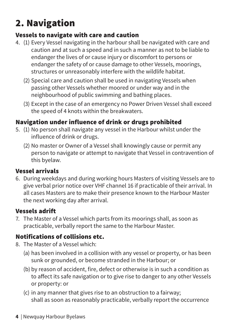# 2. Navigation

# Vessels to navigate with care and caution

- 4. (1) Every Vessel navigating in the harbour shall be navigated with care and caution and at such a speed and in such a manner as not to be liable to endanger the lives of or cause injury or discomfort to persons or endanger the safety of or cause damage to other Vessels, moorings, structures or unreasonably interfere with the wildlife habitat.
	- (2) Special care and caution shall be used in navigating Vessels when passing other Vessels whether moored or under way and in the neighbourhood of public swimming and bathing places.
	- (3) Except in the case of an emergency no Power Driven Vessel shall exceed the speed of 4 knots within the breakwaters.

# Navigation under influence of drink or drugs prohibited

- 5. (1) No person shall navigate any vessel in the Harbour whilst under the influence of drink or drugs.
	- (2) No master or Owner of a Vessel shall knowingly cause or permit any person to navigate or attempt to navigate that Vessel in contravention of this byelaw.

# Vessel arrivals

6. During weekdays and during working hours Masters of visiting Vessels are to give verbal prior notice over VHF channel 16 if practicable of their arrival. In all cases Masters are to make their presence known to the Harbour Master the next working day after arrival.

# Vessels adrift

7. The Master of a Vessel which parts from its moorings shall, as soon as practicable, verbally report the same to the Harbour Master.

# Notifications of collisions etc.

- 8. The Master of a Vessel which:
	- (a) has been involved in a collision with any vessel or property, or has been sunk or grounded, or become stranded in the Harbour; or
	- (b) by reason of accident, fire, defect or otherwise is in such a condition as to affect its safe navigation or to give rise to danger to any other Vessels or property: or
	- (c) in any manner that gives rise to an obstruction to a fairway; shall as soon as reasonably practicable, verbally report the occurrence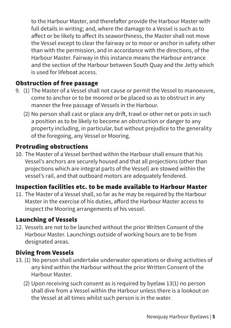to the Harbour Master, and therefafter provide the Harbour Master with full details in writing; and, where the damage to a Vessel is such as to affect or be likely to affect its seaworthiness, the Master shall not move the Vessel except to clear the fairway or to moor or anchor in safety other than with the permission, and in accordance with the directions, of the Harbour Master. Fairway in this instance means the Harbour entrance and the section of the Harbour between South Quay and the Jetty which is used for lifeboat access.

#### Obstruction of free passage

- 9. (1) The Master of a Vessel shall not cause or permit the Vessel to manoeuvre, come to anchor or to be moored or be placed so as to obstruct in any manner the free passage of Vessels in the Harbour.
	- (2) No person shall cast or place any drift, trawl or other net or pots in such a position as to be likely to become an obstruction or danger to any property including, in particular, but without prejudice to the generality of the foregoing, any Vessel or Mooring.

#### Protruding obstructions

10. The Master of a Vessel berthed within the Harbour shall ensure that his Vessel's anchors are securely housed and that all projections (other than projections which are integral parts of the Vessel) are stowed within the vessel's rail, and that outboard motors are adequately fendered.

### Inspection facilities etc. to be made available to Harbour Master

11. The Master of a Vessel shall, so far as he may be required by the Harbour Master in the exercise of his duties, afford the Harbour Master access to inspect the Mooring arrangements of his vessel.

#### Launching of Vessels

12. Vessels are not to be launched without the prior Written Consent of the Harbour Master. Launchings outside of working hours are to be from designated areas.

### Diving from Vessels

- 13. (1) No person shall undertake underwater operations or diving activities of any kind within the Harbour without the prior Written Consent of the Harbour Master.
	- (2) Upon receiving such consent as is required by byelaw 13(1) no person shall dive from a Vessel within the Harbour unless there is a lookout on the Vessel at all times whilst such person is in the water.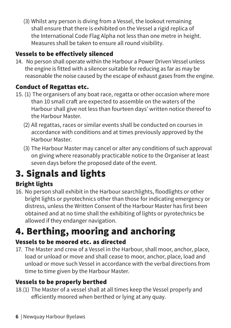(3) Whilst any person is diving from a Vessel, the lookout remaining shall ensure that there is exhibited on the Vessel a rigid replica of the International Code Flag Alpha not less than one metre in height. Measures shall be taken to ensure all round visibility.

# Vessels to be effectively silenced

14. No person shall operate within the Harbour a Power Driven Vessel unless the engine is fitted with a silencer suitable for reducing as far as may be reasonable the noise caused by the escape of exhaust gases from the engine.

### Conduct of Regattas etc.

- 15. (1) The organisers of any boat race, regatta or other occasion where more than 10 small craft are expected to assemble on the waters of the Harbour shall give not less than fourteen days' written notice thereof to the Harbour Master.
	- (2) All regattas, races or similar events shall be conducted on courses in accordance with conditions and at times previously approved by the Harbour Master.
	- (3) The Harbour Master may cancel or alter any conditions of such approval on giving where reasonably practicable notice to the Organiser at least seven days before the proposed date of the event.

# 3. Signals and lights

# Bright lights

16. No person shall exhibit in the Harbour searchlights, floodlights or other bright lights or pyrotechnics other than those for indicating emergency or distress, unless the Written Consent of the Harbour Master has first been obtained and at no time shall the exhibiting of lights or pyrotechnics be allowed if they endanger navigation.

# 4. Berthing, mooring and anchoring

### Vessels to be moored etc. as directed

17. The Master and crew of a Vessel in the Harbour, shall moor, anchor, place, load or unload or move and shall cease to moor, anchor, place, load and unload or move such Vessel in accordance with the verbal directions from time to time given by the Harbour Master.

# Vessels to be properly berthed

18.(1) The Master of a vessel shall at all times keep the Vessel properly and efficiently moored when berthed or lying at any quay.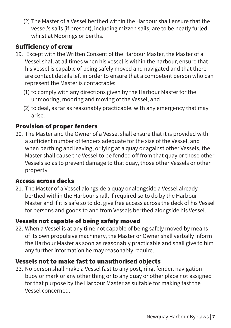(2) The Master of a Vessel berthed within the Harbour shall ensure that the vessel's sails (if present), including mizzen sails, are to be neatly furled whilst at Moorings or berths.

### Sufficiency of crew

- 19. Except with the Written Consent of the Harbour Master, the Master of a Vessel shall at all times when his vessel is within the harbour, ensure that his Vessel is capable of being safely moved and navigated and that there are contact details left in order to ensure that a competent person who can represent the Master is contactable:
	- (1) to comply with any directions given by the Harbour Master for the unmooring, mooring and moving of the Vessel, and
	- (2) to deal, as far as reasonably practicable, with any emergency that may arise.

#### Provision of proper fenders

20. The Master and the Owner of a Vessel shall ensure that it is provided with a sufficient number of fenders adequate for the size of the Vessel, and when berthing and leaving, or lying at a quay or against other Vessels, the Master shall cause the Vessel to be fended off from that quay or those other Vessels so as to prevent damage to that quay, those other Vessels or other property.

#### Access across decks

21. The Master of a Vessel alongside a quay or alongside a Vessel already berthed within the Harbour shall, if required so to do by the Harbour Master and if it is safe so to do, give free access across the deck of his Vessel for persons and goods to and from Vessels berthed alongside his Vessel.

#### Vessels not capable of being safely moved

22. When a Vessel is at any time not capable of being safely moved by means of its own propulsive machinery, the Master or Owner shall verbally inform the Harbour Master as soon as reasonably practicable and shall give to him any further information he may reasonably require.

### Vessels not to make fast to unauthorised objects

23. No person shall make a Vessel fast to any post, ring, fender, navigation buoy or mark or any other thing or to any quay or other place not assigned for that purpose by the Harbour Master as suitable for making fast the Vessel concerned.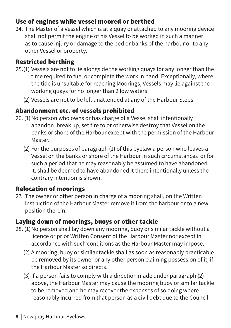### Use of engines while vessel moored or berthed

24. The Master of a Vessel which is at a quay or attached to any mooring device shall not permit the engine of his Vessel to be worked in such a manner as to cause injury or damage to the bed or banks of the harbour or to any other Vessel or property.

### Restricted berthing

- 25.(1) Vessels are not to lie alongside the working quays for any longer than the time required to fuel or complete the work in hand. Exceptionally, where the tide is unsuitable for reaching Moorings, Vessels may lie against the working quays for no longer than 2 low waters.
	- (2) Vessels are not to be left unattended at any of the Harbour Steps.

### Abandonment etc. of vessels prohibited

- 26. (1)No person who owns or has charge of a Vessel shall intentionally abandon, break up, set fire to or otherwise destroy that Vessel on the banks or shore of the Harbour except with the permission of the Harbour Master.
	- (2) For the purposes of paragraph (1) of this byelaw a person who leaves a Vessel on the banks or shore of the Harbour in such circumstances or for such a period that he may reasonably be assumed to have abandoned it, shall be deemed to have abandoned it there intentionally unless the contrary intention is shown.

### Relocation of moorings

27. The owner or other person in charge of a mooring shall, on the Written Instruction of the Harbour Master remove it from the harbour or to a new position therein.

### Laying down of moorings, buoys or other tackle

- 28. (1)No person shall lay down any mooring, buoy or similar tackle without a licence or prior Written Consent of the Harbour Master nor except in accordance with such conditions as the Harbour Master may impose.
	- (2) A mooring, buoy or similar tackle shall as soon as reasonably practicable be removed by its owner or any other person claiming possession of it, if the Harbour Master so directs.
	- (3) If a person fails to comply with a direction made under paragraph (2) above, the Harbour Master may cause the mooring buoy or similar tackle to be removed and he may recover the expenses of so doing where reasonably incurred from that person as a civil debt due to the Council.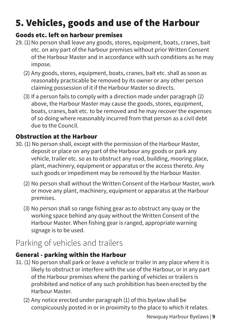# 5. Vehicles, goods and use of the Harbour

### Goods etc. left on harbour premises

- 29. (1)No person shall leave any goods, stores, equipment, boats, cranes, bait etc. on any part of the harbour premises without prior Written Consent of the Harbour Master and in accordance with such conditions as he may impose.
	- (2) Any goods, stores, equipment, boats, cranes, bait etc. shall as soon as reasonably practicable be removed by its owner or any other person claiming possession of it if the Harbour Master so directs.
	- (3) If a person fails to comply with a direction made under paragraph (2) above, the Harbour Master may cause the goods, stores, equipment, boats, cranes, bait etc. to be removed and he may recover the expenses of so doing where reasonably incurred from that person as a civil debt due to the Council.

# Obstruction at the Harbour

- 30. (1) No person shall, except with the permission of the Harbour Master, deposit or place on any part of the Harbour any goods or park any vehicle, trailer etc. so as to obstruct any road, building, mooring place, plant, machinery, equipment or apparatus or the access thereto. Any such goods or impediment may be removed by the Harbour Master.
	- (2) No person shall without the Written Consent of the Harbour Master, work or move any plant, machinery, equipment or apparatus at the Harbour premises.
	- (3) No person shall so range fishing gear as to obstruct any quay or the working space behind any quay without the Written Consent of the Harbour Master. When fishing gear is ranged, appropriate warning signage is to be used.

# Parking of vehicles and trailers

# General - parking within the Harbour

- 31. (1) No person shall park or leave a vehicle or trailer in any place where it is likely to obstruct or interfere with the use of the Harbour, or in any part of the Harbour premises where the parking of vehicles or trailers is prohibited and notice of any such prohibition has been erected by the Harbour Master.
	- (2) Any notice erected under paragraph (1) of this byelaw shall be conspicuously posted in or in proximity to the place to which it relates.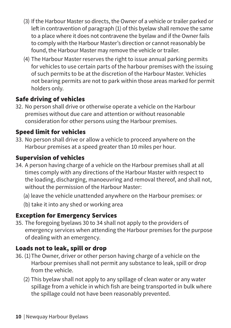- (3) If the Harbour Master so directs, the Owner of a vehicle or trailer parked or left in contravention of paragraph (1) of this byelaw shall remove the same to a place where it does not contravene the byelaw and if the Owner fails to comply with the Harbour Master's direction or cannot reasonably be found, the Harbour Master may remove the vehicle or trailer.
- (4) The Harbour Master reserves the right to issue annual parking permits for vehicles to use certain parts of the harbour premises with the issuing of such permits to be at the discretion of the Harbour Master. Vehicles not bearing permits are not to park within those areas marked for permit holders only.

### Safe driving of vehicles

32. No person shall drive or otherwise operate a vehicle on the Harbour premises without due care and attention or without reasonable consideration for other persons using the Harbour premises.

# Speed limit for vehicles

33. No person shall drive or allow a vehicle to proceed anywhere on the Harbour premises at a speed greater than 10 miles per hour.

### Supervision of vehicles

- 34. A person having charge of a vehicle on the Harbour premises shall at all times comply with any directions of the Harbour Master with respect to the loading, discharging, manoeuvring and removal thereof, and shall not, without the permission of the Harbour Master:
	- (a) leave the vehicle unattended anywhere on the Harbour premises: or
	- (b) take it into any shed or working area

# Exception for Emergency Services

35. The foregoing byelaws 30 to 34 shall not apply to the providers of emergency services when attending the Harbour premises for the purpose of dealing with an emergency.

### Loads not to leak, spill or drop

- 36. (1)The Owner, driver or other person having charge of a vehicle on the Harbour premises shall not permit any substance to leak, spill or drop from the vehicle.
	- (2) This byelaw shall not apply to any spillage of clean water or any water spillage from a vehicle in which fish are being transported in bulk where the spillage could not have been reasonably prevented.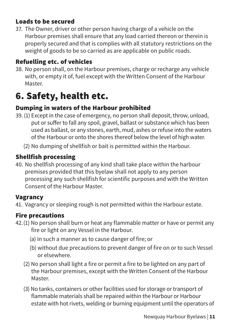### Loads to be secured

37. The Owner, driver or other person having charge of a vehicle on the Harbour premises shall ensure that any load carried thereon or therein is properly secured and that is complies with all statutory restrictions on the weight of goods to be so carried as are applicable on public roads.

# Refuelling etc. of vehicles

38. No person shall, on the Harbour premises, charge or recharge any vehicle with, or empty it of, fuel except with the Written Consent of the Harbour Master.

# 6. Safety, health etc.

# Dumping in waters of the Harbour prohibited

- 39. (1) Except in the case of emergency, no person shall deposit, throw, unload, put or suffer to fall any spoil, gravel, ballast or substance which has been used as ballast, or any stones, earth, mud, ashes or refuse into the waters of the Harbour or onto the shores thereof below the level of high water.
	- (2) No dumping of shellfish or bait is permitted within the Harbour.

# Shellfish processing

40. No shellfish processing of any kind shall take place within the harbour premises provided that this byelaw shall not apply to any person processing any such shellfish for scientific purposes and with the Written Consent of the Harbour Master.

### Vagrancy

41. Vagrancy or sleeping rough is not permitted within the Harbour estate.

# Fire precautions

- 42.(1) No person shall burn or heat any flammable matter or have or permit any fire or light on any Vessel in the Harbour.
	- (a) In such a manner as to cause danger of fire; or
	- (b) without due precautions to prevent danger of fire on or to such Vessel or elsewhere.
	- (2) No person shall light a fire or permit a fire to be lighted on any part of the Harbour premises, except with the Written Consent of the Harbour Master.
	- (3) No tanks, containers or other facilities used for storage or transport of flammable materials shall be repaired within the Harbour or Harbour estate with hot rivets, welding or burning equipment until the operators of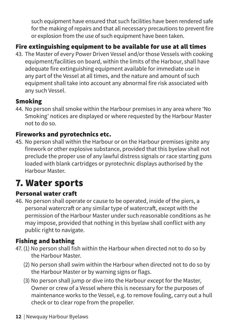such equipment have ensured that such facilities have been rendered safe for the making of repairs and that all necessary precautions to prevent fire or explosion from the use of such equipment have been taken.

# Fire extinguishing equipment to be available for use at all times

43. The Master of every Power Driven Vessel and/or those Vessels with cooking equipment/facilities on board, within the limits of the Harbour, shall have adequate fire extinguishing equipment available for immediate use in any part of the Vessel at all times, and the nature and amount of such equipment shall take into account any abnormal fire risk associated with any such Vessel.

### Smoking

44. No person shall smoke within the Harbour premises in any area where 'No Smoking' notices are displayed or where requested by the Harbour Master not to do so.

# Fireworks and pyrotechnics etc.

45. No person shall within the Harbour or on the Harbour premises ignite any firework or other explosive substance, provided that this byelaw shall not preclude the proper use of any lawful distress signals or race starting guns loaded with blank cartridges or pyrotechnic displays authorised by the Harbour Master.

# 7. Water sports

# Personal water craft

46. No person shall operate or cause to be operated, inside of the piers, a personal watercraft or any similar type of watercraft, except with the permission of the Harbour Master under such reasonable conditions as he may impose, provided that nothing in this byelaw shall conflict with any public right to navigate.

### Fishing and bathing

- 47.(1) No person shall fish within the Harbour when directed not to do so by the Harbour Master.
	- (2) No person shall swim within the Harbour when directed not to do so by the Harbour Master or by warning signs or flags.
	- (3) No person shall jump or dive into the Harbour except for the Master, Owner or crew of a Vessel where this is necessary for the purposes of maintenance works to the Vessel, e.g. to remove fouling, carry out a hull check or to clear rope from the propeller.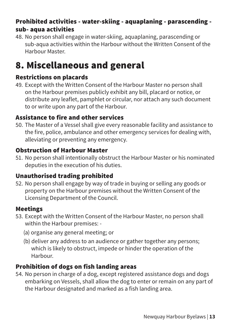### Prohibited activities - water-skiing - aquaplaning - parascending sub- aqua activities

48. No person shall engage in water-skiing, aquaplaning, parascending or sub-aqua activities within the Harbour without the Written Consent of the Harbour Master.

# 8. Miscellaneous and general

### Restrictions on placards

49. Except with the Written Consent of the Harbour Master no person shall on the Harbour premises publicly exhibit any bill, placard or notice, or distribute any leaflet, pamphlet or circular, nor attach any such document to or write upon any part of the Harbour.

#### Assistance to fire and other services

50. The Master of a Vessel shall give every reasonable facility and assistance to the fire, police, ambulance and other emergency services for dealing with, alleviating or preventing any emergency.

### Obstruction of Harbour Master

51. No person shall intentionally obstruct the Harbour Master or his nominated deputies in the execution of his duties.

### Unauthorised trading prohibited

52. No person shall engage by way of trade in buying or selling any goods or property on the Harbour premises without the Written Consent of the Licensing Department of the Council.

#### Meetings

- 53. Except with the Written Consent of the Harbour Master, no person shall within the Harbour premises: -
	- (a) organise any general meeting; or
	- (b) deliver any address to an audience or gather together any persons; which is likely to obstruct, impede or hinder the operation of the Harbour.

### Prohibition of dogs on fish landing areas

54. No person in charge of a dog, except registered assistance dogs and dogs embarking on Vessels, shall allow the dog to enter or remain on any part of the Harbour designated and marked as a fish landing area.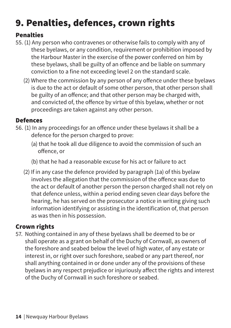# 9. Penalties, defences, crown rights

### Penalties

- 55. (1) Any person who contravenes or otherwise fails to comply with any of these byelaws, or any condition, requirement or prohibition imposed by the Harbour Master in the exercise of the power conferred on him by these byelaws, shall be guilty of an offence and be liable on summary conviction to a fine not exceeding level 2 on the standard scale.
	- (2) Where the commission by any person of any offence under these byelaws is due to the act or default of some other person, that other person shall be guilty of an offence; and that other person may be charged with, and convicted of, the offence by virtue of this byelaw, whether or not proceedings are taken against any other person.

### Defences

- 56. (1) In any proceedings for an offence under these byelaws it shall be a defence for the person charged to prove:
	- (a) that he took all due diligence to avoid the commission of such an offence, or
	- (b) that he had a reasonable excuse for his act or failure to act
	- (2) If in any case the defence provided by paragraph (1a) of this byelaw involves the allegation that the commission of the offence was due to the act or default of another person the person charged shall not rely on that defence unless, within a period ending seven clear days before the hearing, he has served on the prosecutor a notice in writing giving such information identifying or assisting in the identification of, that person as was then in his possession.

# Crown rights

57. Nothing contained in any of these byelaws shall be deemed to be or shall operate as a grant on behalf of the Duchy of Cornwall, as owners of the foreshore and seabed below the level of high water, of any estate or interest in, or right over such foreshore, seabed or any part thereof, nor shall anything contained in or done under any of the provisions of these byelaws in any respect prejudice or injuriously affect the rights and interest of the Duchy of Cornwall in such foreshore or seabed.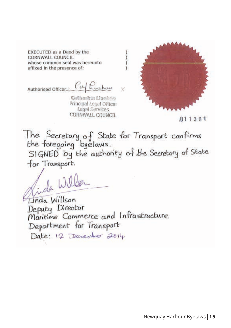EXECUTED as a Deed by the CORNWALL COUNCIL whose common seal was hereunto affixed in the presence of:

Authorised Officer 2 Caf Ruckay

Catharina Lineban Principal Legal Officer Legal Services CORNWALL COUNCIL



 $011391$ 

The Secretary of State for Transport confirms<br>the foregoing byelaws.

the Tolegoing Oyelaws.<br>SIGNED by the authority of the Secretary of State for Transport.

氵冫

de Wille

Linda Willson Deputy Director<br>Maritime Commerce and Infrastructure Department for Transport Date: 12 December 2014